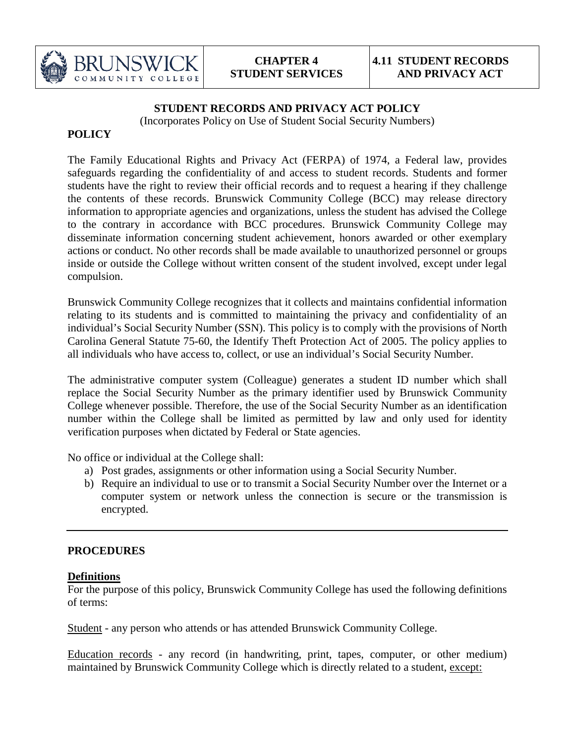

#### **STUDENT RECORDS AND PRIVACY ACT POLICY**

(Incorporates Policy on Use of Student Social Security Numbers)

## **POLICY**

The Family Educational Rights and Privacy Act (FERPA) of 1974, a Federal law, provides safeguards regarding the confidentiality of and access to student records. Students and former students have the right to review their official records and to request a hearing if they challenge the contents of these records. Brunswick Community College (BCC) may release directory information to appropriate agencies and organizations, unless the student has advised the College to the contrary in accordance with BCC procedures. Brunswick Community College may disseminate information concerning student achievement, honors awarded or other exemplary actions or conduct. No other records shall be made available to unauthorized personnel or groups inside or outside the College without written consent of the student involved, except under legal compulsion.

Brunswick Community College recognizes that it collects and maintains confidential information relating to its students and is committed to maintaining the privacy and confidentiality of an individual's Social Security Number (SSN). This policy is to comply with the provisions of North Carolina General Statute 75-60, the Identify Theft Protection Act of 2005. The policy applies to all individuals who have access to, collect, or use an individual's Social Security Number.

The administrative computer system (Colleague) generates a student ID number which shall replace the Social Security Number as the primary identifier used by Brunswick Community College whenever possible. Therefore, the use of the Social Security Number as an identification number within the College shall be limited as permitted by law and only used for identity verification purposes when dictated by Federal or State agencies.

No office or individual at the College shall:

- a) Post grades, assignments or other information using a Social Security Number.
- b) Require an individual to use or to transmit a Social Security Number over the Internet or a computer system or network unless the connection is secure or the transmission is encrypted.

#### **PROCEDURES**

#### **Definitions**

For the purpose of this policy, Brunswick Community College has used the following definitions of terms:

Student - any person who attends or has attended Brunswick Community College.

Education records - any record (in handwriting, print, tapes, computer, or other medium) maintained by Brunswick Community College which is directly related to a student, except: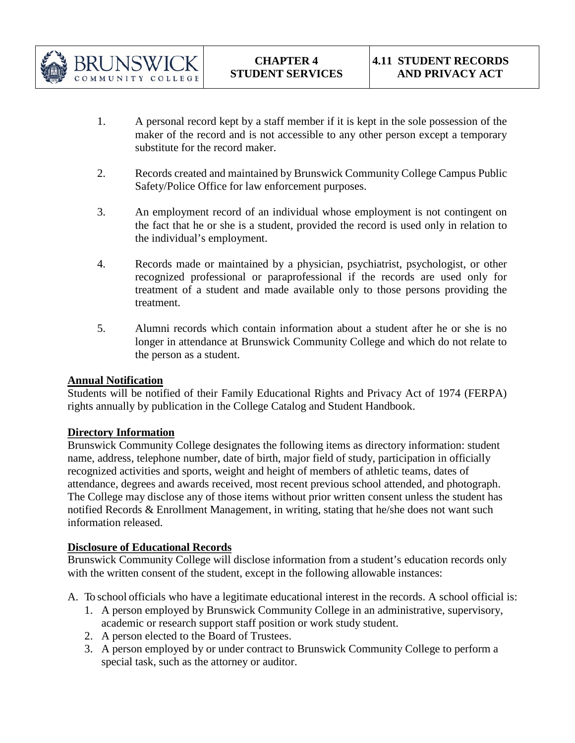

- 1. A personal record kept by a staff member if it is kept in the sole possession of the maker of the record and is not accessible to any other person except a temporary substitute for the record maker.
- 2. Records created and maintained by Brunswick Community College Campus Public Safety/Police Office for law enforcement purposes.
- 3. An employment record of an individual whose employment is not contingent on the fact that he or she is a student, provided the record is used only in relation to the individual's employment.
- 4. Records made or maintained by a physician, psychiatrist, psychologist, or other recognized professional or paraprofessional if the records are used only for treatment of a student and made available only to those persons providing the treatment.
- 5. Alumni records which contain information about a student after he or she is no longer in attendance at Brunswick Community College and which do not relate to the person as a student.

# **Annual Notification**

Students will be notified of their Family Educational Rights and Privacy Act of 1974 (FERPA) rights annually by publication in the College Catalog and Student Handbook.

#### **Directory Information**

Brunswick Community College designates the following items as directory information: student name, address, telephone number, date of birth, major field of study, participation in officially recognized activities and sports, weight and height of members of athletic teams, dates of attendance, degrees and awards received, most recent previous school attended, and photograph. The College may disclose any of those items without prior written consent unless the student has notified Records & Enrollment Management, in writing, stating that he/she does not want such information released.

#### **Disclosure of Educational Records**

Brunswick Community College will disclose information from a student's education records only with the written consent of the student, except in the following allowable instances:

- A. To school officials who have a legitimate educational interest in the records. A school official is:
	- 1. A person employed by Brunswick Community College in an administrative, supervisory, academic or research support staff position or work study student.
	- 2. A person elected to the Board of Trustees.
	- 3. A person employed by or under contract to Brunswick Community College to perform a special task, such as the attorney or auditor.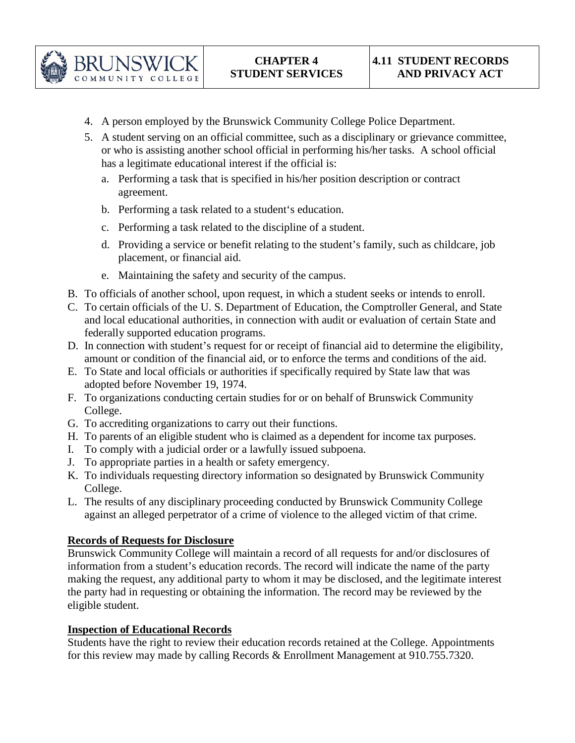

- 4. A person employed by the Brunswick Community College Police Department.
- 5. A student serving on an official committee, such as a disciplinary or grievance committee, or who is assisting another school official in performing his/her tasks. A school official has a legitimate educational interest if the official is:
	- a. Performing a task that is specified in his/her position description or contract agreement.
	- b. Performing a task related to a student's education.
	- c. Performing a task related to the discipline of a student.
	- d. Providing a service or benefit relating to the student's family, such as childcare, job placement, or financial aid.
	- e. Maintaining the safety and security of the campus.
- B. To officials of another school, upon request, in which a student seeks or intends to enroll.
- C. To certain officials of the U. S. Department of Education, the Comptroller General, and State and local educational authorities, in connection with audit or evaluation of certain State and federally supported education programs.
- D. In connection with student's request for or receipt of financial aid to determine the eligibility, amount or condition of the financial aid, or to enforce the terms and conditions of the aid.
- E. To State and local officials or authorities if specifically required by State law that was adopted before November 19, 1974.
- F. To organizations conducting certain studies for or on behalf of Brunswick Community College.
- G. To accrediting organizations to carry out their functions.
- H. To parents of an eligible student who is claimed as a dependent for income tax purposes.
- I. To comply with a judicial order or a lawfully issued subpoena.
- J. To appropriate parties in a health or safety emergency.
- K. To individuals requesting directory information so designated by Brunswick Community College.
- L. The results of any disciplinary proceeding conducted by Brunswick Community College against an alleged perpetrator of a crime of violence to the alleged victim of that crime.

#### **Records of Requests for Disclosure**

Brunswick Community College will maintain a record of all requests for and/or disclosures of information from a student's education records. The record will indicate the name of the party making the request, any additional party to whom it may be disclosed, and the legitimate interest the party had in requesting or obtaining the information. The record may be reviewed by the eligible student.

#### **Inspection of Educational Records**

Students have the right to review their education records retained at the College. Appointments for this review may made by calling Records & Enrollment Management at 910.755.7320.